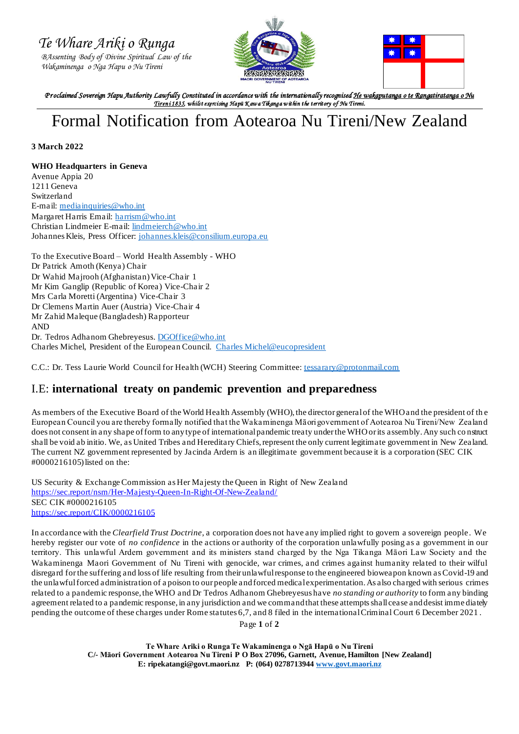*Te Whare Ariki o Runga* 

 *BAssenting Body of Divine Spiritual Law of the Wakaminenga o Nga Hapu o Nu Tireni*





*P r oclaimed Sovereign Hapu Authority Lawfully Constituted in accordance with the internationally recognised He wakaputanga o te Rangatiratanga o Nu Tiren i 1835, whilst exercising Hapū K aw a Tikanga w ithin the territory of Nu Tireni.* 

## Formal Notification from Aotearoa Nu Tireni/New Zealand

## **3 March 2022**

## **WHO Headquarters in Geneva**

Avenue Appia 20 1211 Geneva Switzerland E-mail: [mediainquiries@who.int](mailto:mediainquiries@who.int) Margaret Harris Email: [harrism@who.int](mailto:harrism@who.int) Christian Lindmeier E-mail: [lindmeierch@who.int](mailto:lindmeierch@who.int) Johannes Kleis, Press Officer: [johannes.kleis@consilium.europa.eu](file:///C:/Users/User/Downloads/johannes.kleis@consilium.europa.eu)

To the Executive Board – World Health Assembly - WHO Dr Patrick Amoth (Kenya) Chair Dr Wahid Majrooh (Afghanistan) Vice-Chair 1 Mr Kim Ganglip (Republic of Korea) Vice-Chair 2 Mrs Carla Moretti (Argentina) Vice-Chair 3 Dr Clemens Martin Auer (Austria) Vice-Chair 4 Mr Zahid Maleque (Bangladesh) Rapporteur AND Dr. Tedros Adhanom Ghebreyesus[. DGOffice@who.int](file:///C:/Users/Georgi%20Job/Downloads/DGOffice@who.int) Charles Michel, President of the European Council. [Charles Michel@eucopresident](https://twitter.com/eucopresident)

C.C.: Dr. Tess Laurie World Council for Health (WCH) Steering Committee[: tessarary@protonmail.com](file:///C:/Users/User/Downloads/tessarary@protonmail.com)

## I.E: **international treaty on pandemic prevention and preparedness**

As members of the Executive Board of the World Health Assembly (WHO), the director general of the WHO and the president of th e European Council you are thereby formally notified that the Wakaminenga Māori government of Aotearoa Nu Tireni/New Zealand does not consent in any shape of form to any type of international pandemic treaty under the WHO or its assembly. Any such co nstruct shall be void ab initio. We, as United Tribes and Hereditary Chiefs, represent the only current legitimate government in New Zealand. The current NZ government represented by Jacinda Ardern is an illegitimate government because it is a corporation (SEC CIK #0000216105) listed on the:

US Security & Exchange Commission as Her Majesty the Queen in Right of New Zealand <https://sec.report/nsm/Her-Majesty-Queen-In-Right-Of-New-Zealand/> SEC CIK #0000216105 <https://sec.report/CIK/0000216105>

In accordance with the *Clearfield Trust Doctrine*, a corporation does not have any implied right to govern a sovereign people. We hereby register our vote of *no confidence* in the actions or authority of the corporation unlawfully posing as a government in our territory. This unlawful Ardern government and its ministers stand charged by the Nga Tikanga Māori Law Society and the Wakaminenga Maori Government of Nu Tireni with genocide, war crimes, and crimes against humanity related to their wilful disregard for the suffering and loss of life resulting from their unlawful response to the engineered bioweapon known as Covid-19 and the unlawful forced administration of a poison to our people and forced medical experimentation. As also charged with serious crimes related to a pandemic response, the WHO and Dr Tedros Adhanom Ghebreyesus have *no standing or authority* to form any binding agreement related to a pandemic response, in any jurisdiction and we command that these attempts shall cease and desist imme diately pending the outcome of these charges under Rome statutes 6,7, and 8 filed in the international Criminal Court 6 December 2021 .

Page **1** of **2**

**Te Whare Ariki o Runga Te Wakaminenga o Ngā Hapū o Nu Tireni C/- Māori Government Aotearoa Nu Tireni P O Box 27096, Garnett, Avenue, Hamilton [New Zealand] E: ripekatangi@govt.maori.nz P: (064) 027871394[4 www.govt.maori.nz](http://www.govt.maori.nz/)**